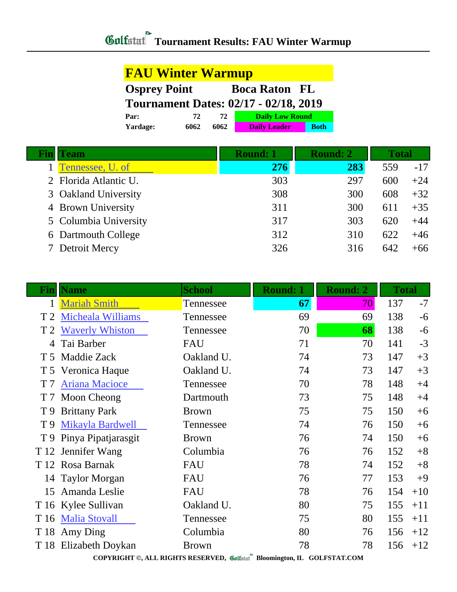| <b>FAU Winter Warmup</b>                     |      |      |                        |             |  |
|----------------------------------------------|------|------|------------------------|-------------|--|
| <b>Osprey Point</b>                          |      |      | <b>Boca Raton FL</b>   |             |  |
| <b>Tournament Dates: 02/17 - 02/18, 2019</b> |      |      |                        |             |  |
| Par:                                         | 72   | 72   | <b>Daily Low Round</b> |             |  |
| Yardage:                                     | 6062 | 6062 | <b>Daily Leader</b>    | <b>Both</b> |  |

| <b>Fin  Team</b>      | <b>Round: 1</b> | <b>Round: 2</b> | <b>Total</b> |       |
|-----------------------|-----------------|-----------------|--------------|-------|
| Tennessee, U. of      | 276             | 283             | 559          | $-17$ |
| 2 Florida Atlantic U. | 303             | 297             | 600          | $+24$ |
| 3 Oakland University  | 308             | 300             | 608          | $+32$ |
| 4 Brown University    | 311             | 300             | 611          | $+35$ |
| 5 Columbia University | 317             | 303             | 620          | $+44$ |
| 6 Dartmouth College   | 312             | 310             | 622          | $+46$ |
| 7 Detroit Mercy       | 326             | 316             | 642          | $+66$ |

| Fin            | <b>Name</b>           | <b>School</b> | <b>Round: 1</b> | <b>Round: 2</b> | <b>Total</b> |       |
|----------------|-----------------------|---------------|-----------------|-----------------|--------------|-------|
|                | <b>Mariah Smith</b>   | Tennessee     | 67              | 70              | 137          | $-7$  |
|                | T 2 Micheala Williams | Tennessee     | 69              | 69              | 138          | $-6$  |
|                | T 2 Waverly Whiston   | Tennessee     | 70              | 68              | 138          | $-6$  |
|                | Tai Barber            | FAU           | 71              | 70              | 141          | $-3$  |
| T <sub>5</sub> | <b>Maddie Zack</b>    | Oakland U.    | 74              | 73              | 147          | $+3$  |
|                | T 5 Veronica Haque    | Oakland U.    | 74              | 73              | 147          | $+3$  |
| T <sub>7</sub> | <b>Ariana Macioce</b> | Tennessee     | 70              | 78              | 148          | $+4$  |
| T 7            | Moon Cheong           | Dartmouth     | 73              | 75              | 148          | $+4$  |
| T 9            | <b>Brittany Park</b>  | <b>Brown</b>  | 75              | 75              | 150          | $+6$  |
| T 9            | Mikayla Bardwell      | Tennessee     | 74              | 76              | 150          | $+6$  |
| T 9            | Pinya Pipatjarasgit   | <b>Brown</b>  | 76              | 74              | 150          | $+6$  |
| T 12           | Jennifer Wang         | Columbia      | 76              | 76              | 152          | $+8$  |
|                | T 12 Rosa Barnak      | FAU           | 78              | 74              | 152          | $+8$  |
|                | 14 Taylor Morgan      | FAU           | 76              | 77              | 153          | $+9$  |
| 15             | Amanda Leslie         | FAU           | 78              | 76              | 154          | $+10$ |
|                | T 16 Kylee Sullivan   | Oakland U.    | 80              | 75              | 155          | $+11$ |
| T 16           | <b>Malia Stovall</b>  | Tennessee     | 75              | 80              | 155          | $+11$ |
|                | T 18 Amy Ding         | Columbia      | 80              | 76              | 156          | $+12$ |
| T 18           | Elizabeth Doykan      | <b>Brown</b>  | 78              | 78              | 156          | $+12$ |

**COPYRIGHT ©, ALL RIGHTS RESERVED, Bloomington, IL GOLFSTAT.COM**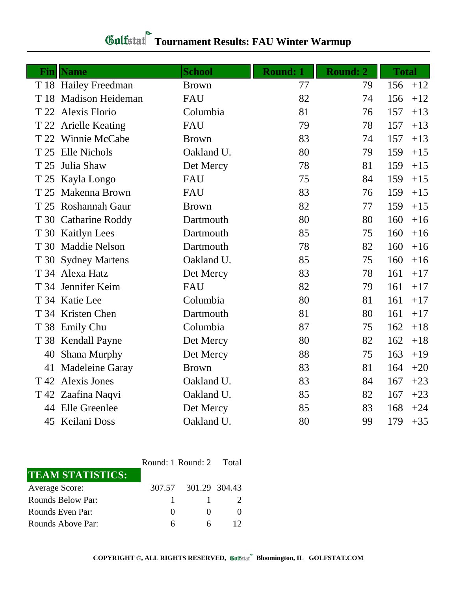|      | <b>Fin</b>   Name     | <b>School</b> | <b>Round: 1</b> | <b>Round: 2</b> | <b>Total</b> |       |
|------|-----------------------|---------------|-----------------|-----------------|--------------|-------|
|      | T 18 Hailey Freedman  | <b>Brown</b>  | 77              | 79              | 156          | $+12$ |
|      | T 18 Madison Heideman | <b>FAU</b>    | 82              | 74              | 156          | $+12$ |
| T 22 | <b>Alexis Florio</b>  | Columbia      | 81              | 76              | 157          | $+13$ |
|      | T 22 Arielle Keating  | <b>FAU</b>    | 79              | 78              | 157          | $+13$ |
|      | T 22 Winnie McCabe    | <b>Brown</b>  | 83              | 74              | 157          | $+13$ |
|      | T 25 Elle Nichols     | Oakland U.    | 80              | 79              | 159          | $+15$ |
| T 25 | Julia Shaw            | Det Mercy     | 78              | 81              | 159          | $+15$ |
|      | T 25 Kayla Longo      | FAU           | 75              | 84              | 159          | $+15$ |
| T 25 | Makenna Brown         | <b>FAU</b>    | 83              | 76              | 159          | $+15$ |
|      | T 25 Roshannah Gaur   | <b>Brown</b>  | 82              | 77              | 159          | $+15$ |
|      | T 30 Catharine Roddy  | Dartmouth     | 80              | 80              | 160          | $+16$ |
|      | T 30 Kaitlyn Lees     | Dartmouth     | 85              | 75              | 160          | $+16$ |
|      | T 30 Maddie Nelson    | Dartmouth     | 78              | 82              | 160          | $+16$ |
| T 30 | <b>Sydney Martens</b> | Oakland U.    | 85              | 75              | 160          | $+16$ |
|      | T 34 Alexa Hatz       | Det Mercy     | 83              | 78              | 161          | $+17$ |
|      | T 34 Jennifer Keim    | FAU           | 82              | 79              | 161          | $+17$ |
|      | T 34 Katie Lee        | Columbia      | 80              | 81              | 161          | $+17$ |
|      | T 34 Kristen Chen     | Dartmouth     | 81              | 80              | 161          | $+17$ |
|      | T 38 Emily Chu        | Columbia      | 87              | 75              | 162          | $+18$ |
|      | T 38 Kendall Payne    | Det Mercy     | 80              | 82              | 162          | $+18$ |
| 40   | Shana Murphy          | Det Mercy     | 88              | 75              | 163          | $+19$ |
| 41   | Madeleine Garay       | <b>Brown</b>  | 83              | 81              | 164          | $+20$ |
| T 42 | <b>Alexis Jones</b>   | Oakland U.    | 83              | 84              | 167          | $+23$ |
|      | T 42 Zaafina Naqvi    | Oakland U.    | 85              | 82              | 167          | $+23$ |
|      | 44 Elle Greenlee      | Det Mercy     | 85              | 83              | 168          | $+24$ |
|      | 45 Keilani Doss       | Oakland U.    | 80              | 99              | 179          | $+35$ |

|                         | Round: 1 Round: 2 Total |                      |  |
|-------------------------|-------------------------|----------------------|--|
| <b>TEAM STATISTICS:</b> |                         |                      |  |
| <b>Average Score:</b>   |                         | 307.57 301.29 304.43 |  |
| Rounds Below Par:       |                         |                      |  |
| Rounds Even Par:        | $^{\circ}$              | $\mathbf{\Omega}$    |  |
| Rounds Above Par:       | h                       | 6                    |  |